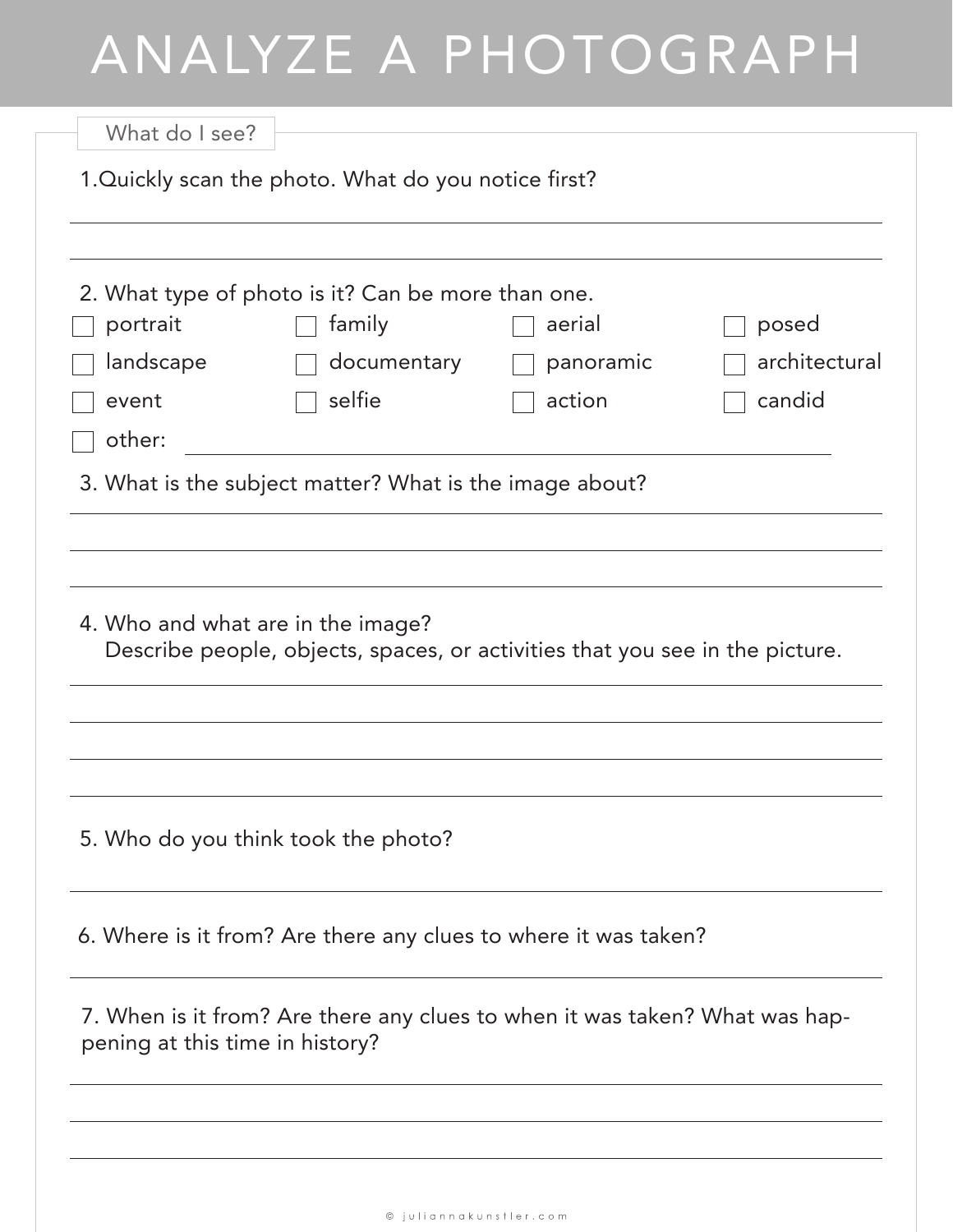## ANALYZE A PHOTOGRAPH

| What do I see?                      |                                                                              |           |               |
|-------------------------------------|------------------------------------------------------------------------------|-----------|---------------|
|                                     | 1. Quickly scan the photo. What do you notice first?                         |           |               |
|                                     |                                                                              |           |               |
|                                     |                                                                              |           |               |
| portrait                            | 2. What type of photo is it? Can be more than one.<br>family                 | aerial    | posed         |
| landscape                           | documentary                                                                  | panoramic | architectural |
| event                               | selfie                                                                       | action    | candid        |
| other:                              |                                                                              |           |               |
|                                     | 3. What is the subject matter? What is the image about?                      |           |               |
|                                     |                                                                              |           |               |
|                                     |                                                                              |           |               |
| 4. Who and what are in the image?   |                                                                              |           |               |
|                                     | Describe people, objects, spaces, or activities that you see in the picture. |           |               |
|                                     |                                                                              |           |               |
|                                     |                                                                              |           |               |
|                                     |                                                                              |           |               |
| 5. Who do you think took the photo? |                                                                              |           |               |
|                                     |                                                                              |           |               |
|                                     | 6. Where is it from? Are there any clues to where it was taken?              |           |               |
|                                     |                                                                              |           |               |
| pening at this time in history?     | 7. When is it from? Are there any clues to when it was taken? What was hap-  |           |               |
|                                     |                                                                              |           |               |
|                                     |                                                                              |           |               |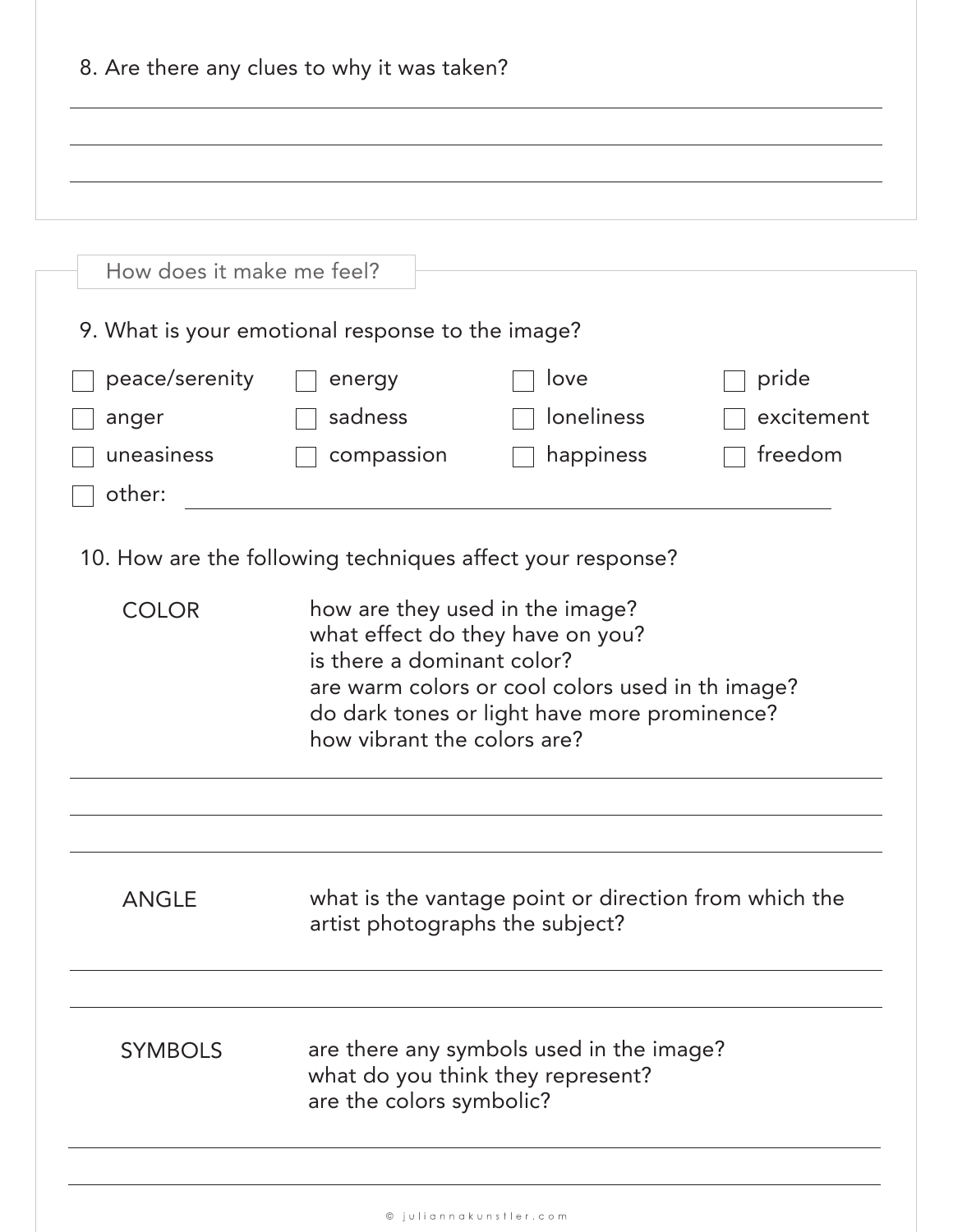|                           | 8. Are there any clues to why it was taken?                                                  |                                                                                                                                      |            |
|---------------------------|----------------------------------------------------------------------------------------------|--------------------------------------------------------------------------------------------------------------------------------------|------------|
|                           |                                                                                              |                                                                                                                                      |            |
|                           |                                                                                              |                                                                                                                                      |            |
| How does it make me feel? |                                                                                              |                                                                                                                                      |            |
|                           | 9. What is your emotional response to the image?                                             |                                                                                                                                      |            |
| peace/serenity            | energy                                                                                       | love                                                                                                                                 | pride      |
| anger                     | sadness                                                                                      | <b>loneliness</b>                                                                                                                    | excitement |
| uneasiness                | compassion                                                                                   | happiness                                                                                                                            | freedom    |
| other:                    |                                                                                              |                                                                                                                                      |            |
|                           |                                                                                              | 10. How are the following techniques affect your response?                                                                           |            |
| <b>COLOR</b>              | how are they used in the image?<br>is there a dominant color?<br>how vibrant the colors are? | what effect do they have on you?<br>are warm colors or cool colors used in th image?<br>do dark tones or light have more prominence? |            |
| <b>ANGLE</b>              | artist photographs the subject?                                                              | what is the vantage point or direction from which the                                                                                |            |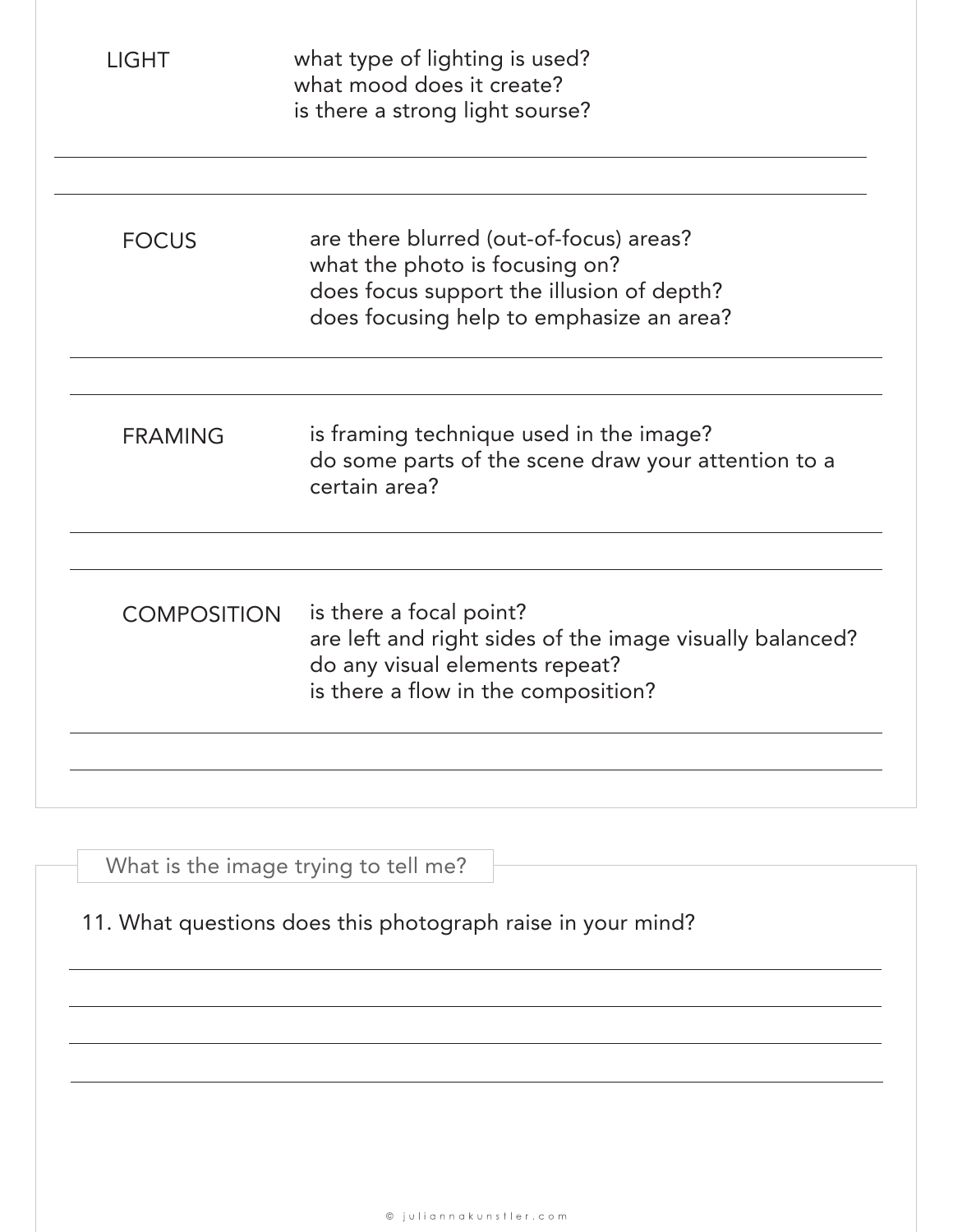| <b>LIGHT</b>       | what type of lighting is used?<br>what mood does it create?<br>is there a strong light sourse?                                                                     |
|--------------------|--------------------------------------------------------------------------------------------------------------------------------------------------------------------|
| <b>FOCUS</b>       | are there blurred (out-of-focus) areas?<br>what the photo is focusing on?<br>does focus support the illusion of depth?<br>does focusing help to emphasize an area? |
| <b>FRAMING</b>     | is framing technique used in the image?<br>do some parts of the scene draw your attention to a<br>certain area?                                                    |
| <b>COMPOSITION</b> | is there a focal point?<br>are left and right sides of the image visually balanced?<br>do any visual elements repeat?<br>is there a flow in the composition?       |
|                    | What is the image trying to tell me?                                                                                                                               |
|                    | 11. What questions does this photograph raise in your mind?                                                                                                        |